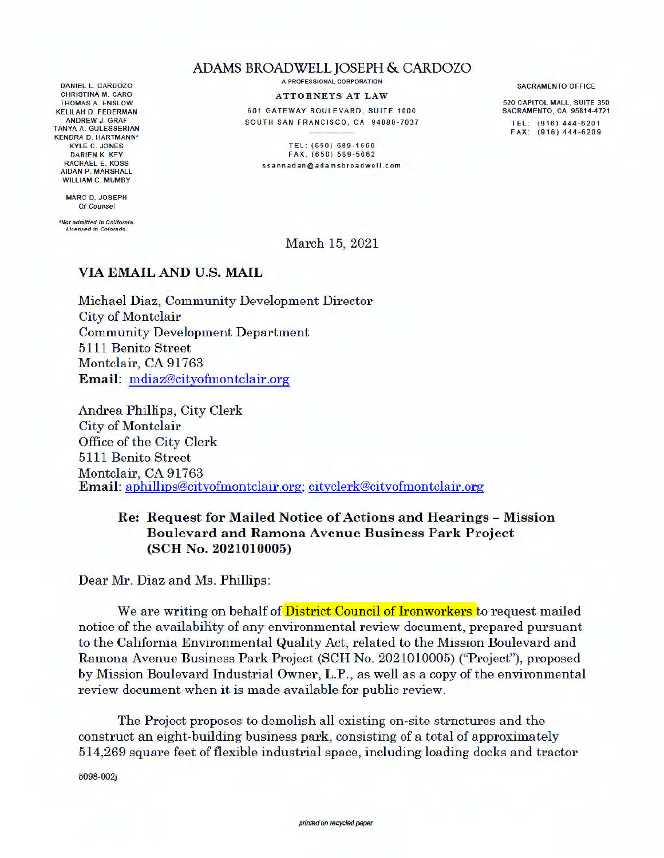## DANIEL L. CARDOZO CHRISTINA **M.** CARO THOMAS A. ENSLOW KELILAH D. FEDERMAN ANDREW J. GRAF TANYA A. GULESSERIAN KENDRA D. HARTMANN" KYLE C. JONES DARIEN K. KEY RACHAEL E. KOSS AIDAN P. MARSHALL WILLIAM C. MUMBY

**MARC** D. JOSEPH Of Counsel

*•Not admitted in Callfornia. Licen3ed in Colorado.* 

## ADAMS BROADWELL JOSEPH & CARDOZO

A PROFESSIONAL CORPORATION

**ATTORNEYS AT LAW** 

601 GATEWAY BOULEVARD, SUITE 1000 SOUTH SAN FRANCISCO, CA 94080-7037

TEL: (650) 589-1660 FAX: (650) 589-5062 ssannadan@adamsbroadwell.com SACRAMENTO OFFICE

520 CAPITOL MALL, SUITE 350 SACRAMENTO, CA 95814-4721 TEL: (916) 444-6201

FAX: (916) 444-6209

March 15, 2021

## **VIA EMAIL AND U.S. MAIL**

Michael Diaz, Community Development Director City of Montclair Community Development Department 5111 Benito Street Montclair, CA 91763 **Email:** mdiaz@cityofmontclair.org

Andrea Phillips, City Clerk City of Montclair Office of the City Clerk 5111 Benito Street Montclair, CA 91763 **Email:** aphillips@cityofmontclair.org; cityclerk@cityofmontclair.org

## **Re: Request for Mailed Notice of Actions and Hearings** - **Mission Boulevard and Ramona Avenue Business Park Project (SCH No. 2021010005)**

Dear Mr. Diaz and Ms. Phillips:

We are writing on behalf of **District Council of Ironworkers** to request mailed notice of the availability of any environmental review document, prepared pursuant to the California Environmental Quality Act, related to the Mission Boulevard and Ramona Avenue Business Park Project (SCH No. 2021010005) ("Project"), proposed by Mission Boulevard Industrial Owner, L.P., as well as a copy of the environmental review document when it is made available for public review.

The Project proposes to demolish all existing on-site structures and the construct an eight-building business park, consisting of a total of approximately 514,269 square feet of flexible industrial space, including loading docks and tractor

5098-002j